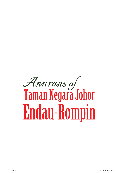## *Anurans of*<br>Taman Negara Johor **Endau-Rompin**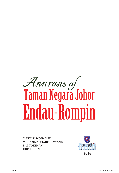## *Anurans of*<br>Taman Negara Johor **Endau-Rompin**

**MARYATI MOHAMED MUHAMMAD TAUFIK AWANG LILI TOKIMAN KUEH BOON HEE** 

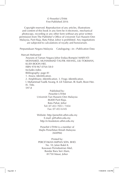## © Penerbit UTHM First Published 2016

Copyright reserved. Reproduction of any articles, illustrations and content of this book in any form be it electronic, mechanical photocopy, recording or any other form without any prior written permission from The Publisher's Office of Universiti Tun Hussein Onn Malaysia, Parit Raja, Batu Pahat, Johor is prohibited. Any negotiations are subjected to calculations of royalty and honorarium.

Perpustakaan Negara Malaysia Cataloguing—in—Publication Data

Maryati Mohamed

Anurans of Taman Negara Johor Endau-Rompin/ MARYATI MOHAMED, MUHAMMAD TAUFIK AWANG, LILI TOKIMAN, KUEH BOON HEE. ISBN 978-967-0764-58-0 Includes index Bibliography: page 81 1. Anura--Identification. 2. Amphibians--Identification. 3. Frogs--Identification. I. Muhammad Taufik Awang. II. Lili Tokiman. III. Kueh, Boon Hee. IV. Title. 597.8

> Published by: Penerbit UTHM Universiti Tun Hussein Onn Malaysia 86400 Parit Raja, Batu Pahat, Johor Tel: 07-453 7051 / 7454 Fax: 07-453 6145

> Website: http://penerbit.uthm.edu.my E-mail: pt@uthm.edu.my http://e-bookstore.uthm.edu.my

Penerbit UTHM is a member of Majlis Penerbitan Ilmiah Malaysia (MAPIM)

Printed by: PERCETAKAN IMPIAN SDN. BHD. No. 10, Jalan Bukit 8, Kawasan Perindustrian Miel, Bandar Baru Seri Alam, 81750 Masai, Johor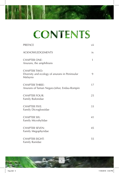## CONTENTS

**CONTENT** 

| <b>PREFACE</b>                                                                    | vii |
|-----------------------------------------------------------------------------------|-----|
| <b>ACKNOWLEDGEMENTS</b>                                                           | ix  |
| <b>CHAPTER ONE:</b><br>Anurans, the amphibians                                    | 1   |
| <b>CHAPTER TWO:</b><br>Diversity and ecology of anurans in Peninsular<br>Malaysia | 9   |
| <b>CHAPTER THREE:</b><br>Anurans of Taman Negara Johor, Endau-Rompin              | 17  |
| <b>CHAPTER FOUR:</b><br>Family Bufonidae                                          | 25  |
| <b>CHAPTER FIVE:</b><br>Family Dicroglossidae                                     | 33  |
| <b>CHAPTER SIX:</b><br>Family Microhylidae                                        | 41  |
| <b>CHAPTER SEVEN:</b><br>Family Megophyridae                                      | 45  |
| <b>CHAPTER EIGHT:</b><br>Family Ranidae                                           | 55  |

v